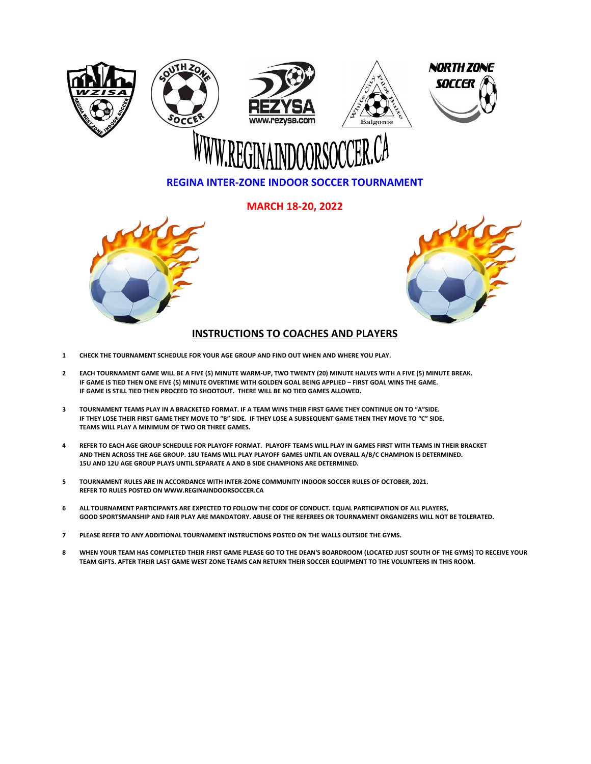

### **REGINA INTER-ZONE INDOOR SOCCER TOURNAMENT**

**MARCH 18-20, 2022**





#### **INSTRUCTIONS TO COACHES AND PLAYERS**

- **1 CHECK THE TOURNAMENT SCHEDULE FOR YOUR AGE GROUP AND FIND OUT WHEN AND WHERE YOU PLAY.**
- **2 IF GAME IS TIED THEN ONE FIVE (5) MINUTE OVERTIME WITH GOLDEN GOAL BEING APPLIED – FIRST GOAL WINS THE GAME. IF GAME IS STILL TIED THEN PROCEED TO SHOOTOUT. THERE WILL BE NO TIED GAMES ALLOWED. EACH TOURNAMENT GAME WILL BE A FIVE (5) MINUTE WARM-UP, TWO TWENTY (20) MINUTE HALVES WITH A FIVE (5) MINUTE BREAK.**
- **3 TOURNAMENT TEAMS PLAY IN A BRACKETED FORMAT. IF A TEAM WINS THEIR FIRST GAME THEY CONTINUE ON TO "A"SIDE. IF THEY LOSE THEIR FIRST GAME THEY MOVE TO "B" SIDE. IF THEY LOSE A SUBSEQUENT GAME THEN THEY MOVE TO "C" SIDE. TEAMS WILL PLAY A MINIMUM OF TWO OR THREE GAMES.**
- **4 REFER TO EACH AGE GROUP SCHEDULE FOR PLAYOFF FORMAT. PLAYOFF TEAMS WILL PLAY IN GAMES FIRST WITH TEAMS IN THEIR BRACKET AND THEN ACROSS THE AGE GROUP. 18U TEAMS WILL PLAY PLAYOFF GAMES UNTIL AN OVERALL A/B/C CHAMPION IS DETERMINED. 15U AND 12U AGE GROUP PLAYS UNTIL SEPARATE A AND B SIDE CHAMPIONS ARE DETERMINED.**
- **5 TOURNAMENT RULES ARE IN ACCORDANCE WITH INTER-ZONE COMMUNITY INDOOR SOCCER RULES OF OCTOBER, 2021. REFER TO RULES POSTED ON WWW.REGINAINDOORSOCCER.CA**
- **6 ALL TOURNAMENT PARTICIPANTS ARE EXPECTED TO FOLLOW THE CODE OF CONDUCT. EQUAL PARTICIPATION OF ALL PLAYERS, GOOD SPORTSMANSHIP AND FAIR PLAY ARE MANDATORY. ABUSE OF THE REFEREES OR TOURNAMENT ORGANIZERS WILL NOT BE TOLERATED.**

#### **7 PLEASE REFER TO ANY ADDITIONAL TOURNAMENT INSTRUCTIONS POSTED ON THE WALLS OUTSIDE THE GYMS.**

**8 WHEN YOUR TEAM HAS COMPLETED THEIR FIRST GAME PLEASE GO TO THE DEAN'S BOARDROOM (LOCATED JUST SOUTH OF THE GYMS) TO RECEIVE YOUR TEAM GIFTS. AFTER THEIR LAST GAME WEST ZONE TEAMS CAN RETURN THEIR SOCCER EQUIPMENT TO THE VOLUNTEERS IN THIS ROOM.**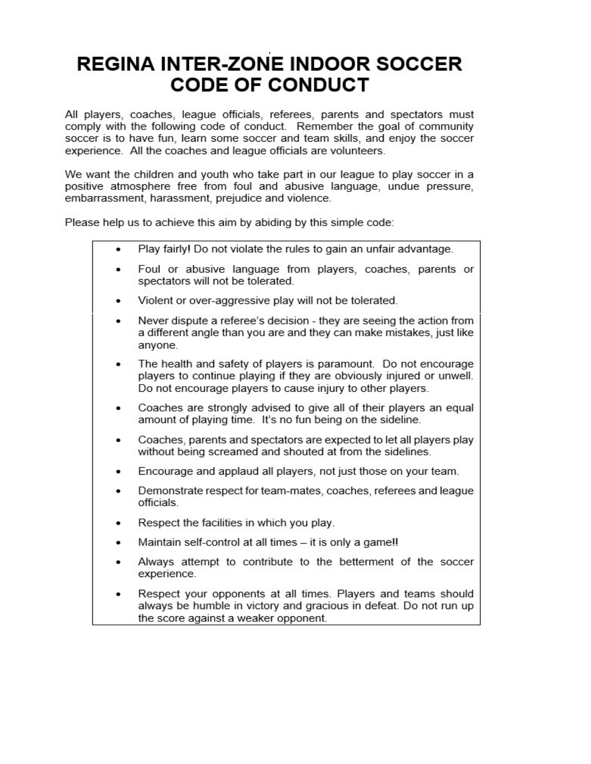### **REGINA INTER-ZONE INDOOR SOCCER CODE OF CONDUCT**

All players, coaches, league officials, referees, parents and spectators must comply with the following code of conduct. Remember the goal of community soccer is to have fun, learn some soccer and team skills, and enjoy the soccer experience. All the coaches and league officials are volunteers.

We want the children and youth who take part in our league to play soccer in a positive atmosphere free from foul and abusive language, undue pressure, embarrassment, harassment, prejudice and violence.

Please help us to achieve this aim by abiding by this simple code:

- Play fairly! Do not violate the rules to gain an unfair advantage.
- Foul or abusive language from players, coaches, parents or spectators will not be tolerated.
- Violent or over-aggressive play will not be tolerated.
- Never dispute a referee's decision they are seeing the action from a different angle than you are and they can make mistakes, just like anyone.
- The health and safety of players is paramount. Do not encourage players to continue playing if they are obviously injured or unwell. Do not encourage players to cause injury to other players.
- Coaches are strongly advised to give all of their players an equal amount of playing time. It's no fun being on the sideline.
- Coaches, parents and spectators are expected to let all players play without being screamed and shouted at from the sidelines.
- Encourage and applaud all players, not just those on your team.
- Demonstrate respect for team-mates, coaches, referees and league officials.
- Respect the facilities in which you play.
- Maintain self-control at all times it is only a game!!
- Always attempt to contribute to the betterment of the soccer experience.
- Respect your opponents at all times. Players and teams should always be humble in victory and gracious in defeat. Do not run up the score against a weaker opponent.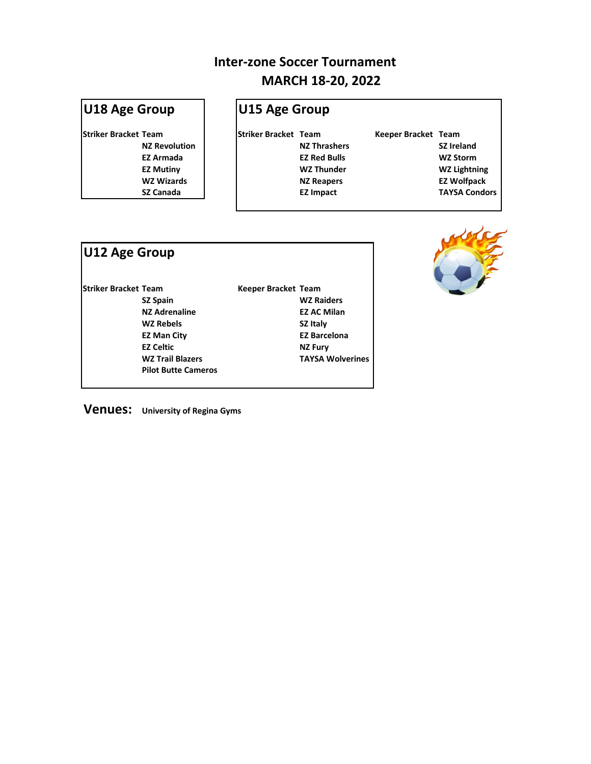# **U18 Age Group U15 Age Group**

**Striker Bracket Team Striker Bracket Team Keeper Bracket Team**

**NZ Revolution NZ Thrashers SZ Ireland EZ Armada EZ Red Bulls WZ Storm EZ Mutiny WZ Thunder WZ Lightning WZ Wizards NZ Reapers EZ Wolfpack SZ Canada EZ Impact TAYSA Condors**

| U12 Age Group               |                            |                            |                         |
|-----------------------------|----------------------------|----------------------------|-------------------------|
| <b>Striker Bracket Team</b> |                            | <b>Keeper Bracket Team</b> |                         |
|                             | <b>SZ Spain</b>            |                            | <b>WZ Raiders</b>       |
|                             | <b>NZ Adrenaline</b>       |                            | <b>EZ AC Milan</b>      |
|                             | <b>WZ Rebels</b>           |                            | <b>SZ Italy</b>         |
|                             | <b>EZ Man City</b>         |                            | <b>EZ Barcelona</b>     |
|                             | <b>EZ Celtic</b>           |                            | <b>NZ Fury</b>          |
|                             | <b>WZ Trail Blazers</b>    |                            | <b>TAYSA Wolverines</b> |
|                             | <b>Pilot Butte Cameros</b> |                            |                         |



**Venues: University of Regina Gyms**

# **MARCH 18-20, 2022 Inter-zone Soccer Tournament**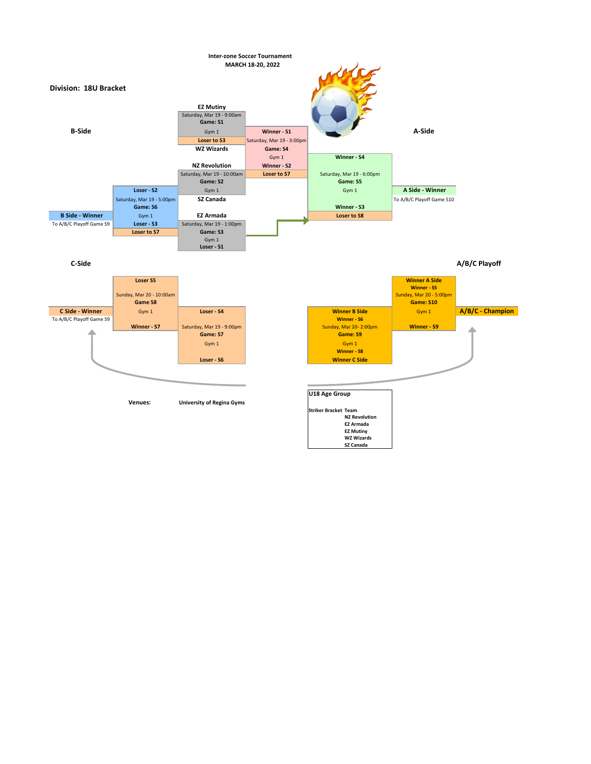# **C-Side**



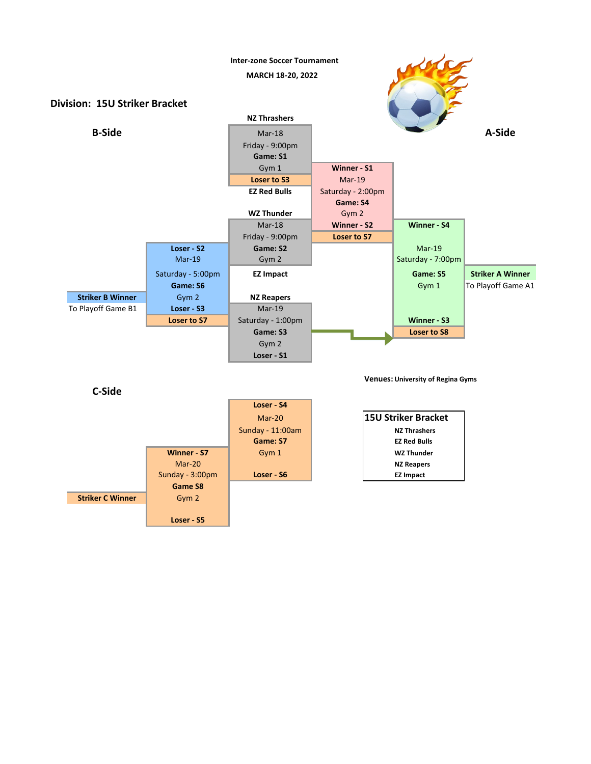|                         |                    | <b>Sunday - 11:00am</b> | <b>NZ Thrashers</b> |  |
|-------------------------|--------------------|-------------------------|---------------------|--|
|                         |                    | <b>Game: S7</b>         | <b>EZ Red Bulls</b> |  |
|                         | <b>Winner - S7</b> | Gym 1                   | <b>WZ Thunder</b>   |  |
|                         | Mar-20             |                         | <b>NZ Reapers</b>   |  |
|                         | Sunday - 3:00pm    | Loser - S6              | <b>EZ Impact</b>    |  |
|                         | <b>Game S8</b>     |                         |                     |  |
| <b>Striker C Winner</b> | Gym 2              |                         |                     |  |
|                         |                    |                         |                     |  |
|                         | Loser - S5         |                         |                     |  |

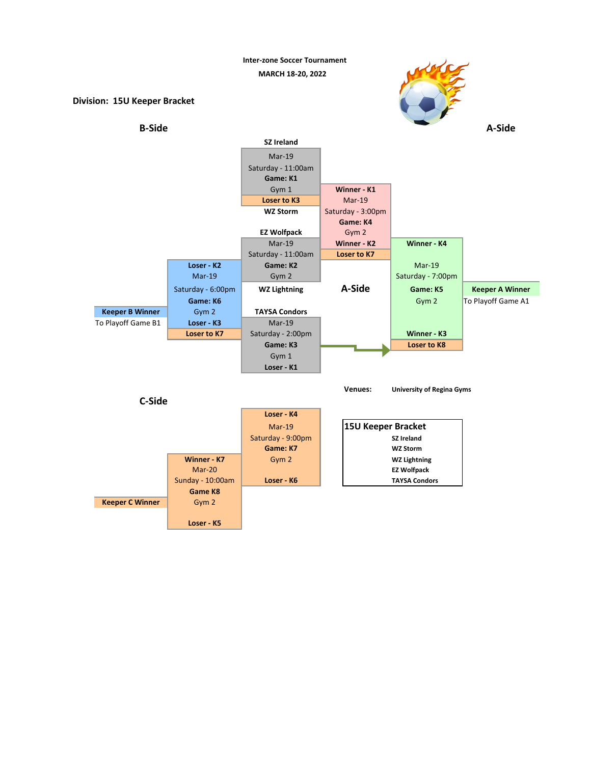**Inter-zone Soccer Tournament**

**MARCH 18-20, 2022**

**Division: 15U Keeper Bracket**









# **B-Side**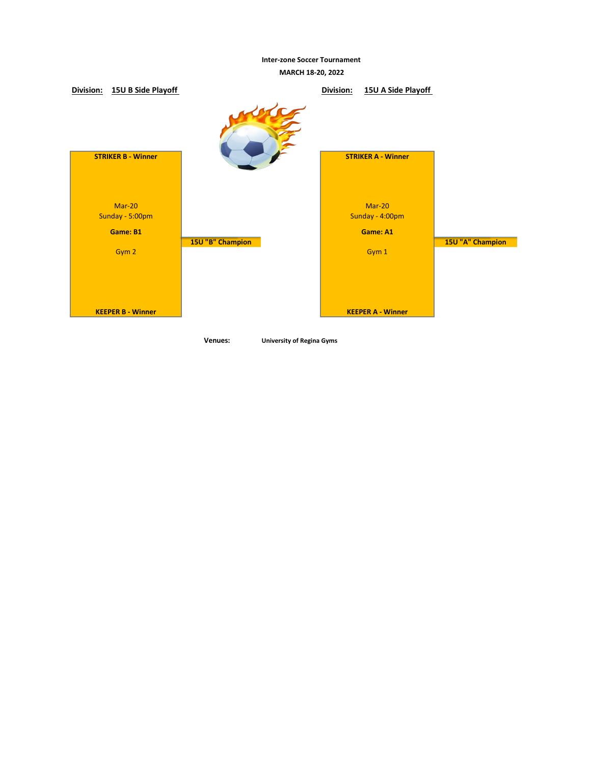**Inter-zone Soccer Tournament**



**MARCH 18-20, 2022**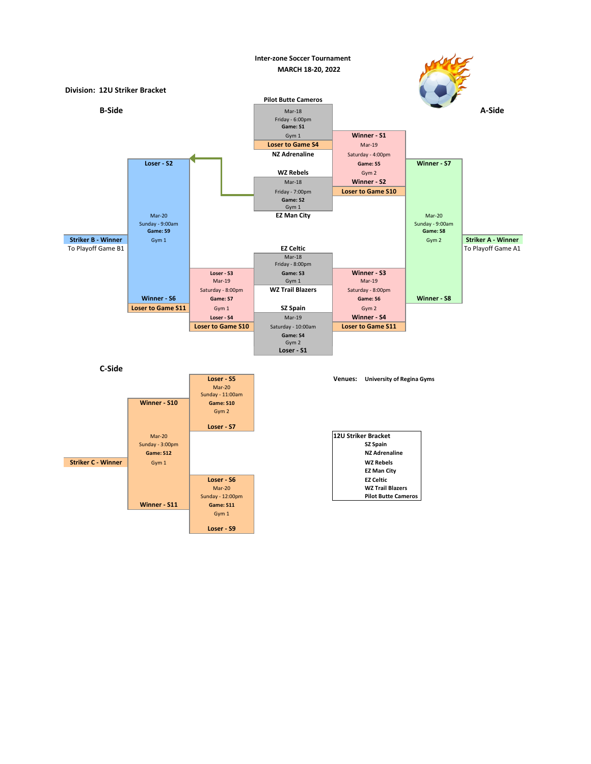**C-Side**





|                          | Saturday - 8:00pm        | <b>WZ Trail Blazers</b> | Saturday - 8:00pm        |                    |  |
|--------------------------|--------------------------|-------------------------|--------------------------|--------------------|--|
| <b>Winner - S6</b>       | Game: S7                 |                         | <b>Game: S6</b>          | <b>Winner - S8</b> |  |
| <b>Loser to Game S11</b> | Gym 1                    | <b>SZ Spain</b>         | Gym <sub>2</sub>         |                    |  |
|                          | Loser - S4               | $Mar-19$                | <b>Winner - S4</b>       |                    |  |
|                          | <b>Loser to Game S10</b> | Saturday - 10:00am      | <b>Loser to Game S11</b> |                    |  |
|                          |                          | Game: S4                |                          |                    |  |
|                          |                          | Gym2                    |                          |                    |  |
|                          |                          | Loser - S1              |                          |                    |  |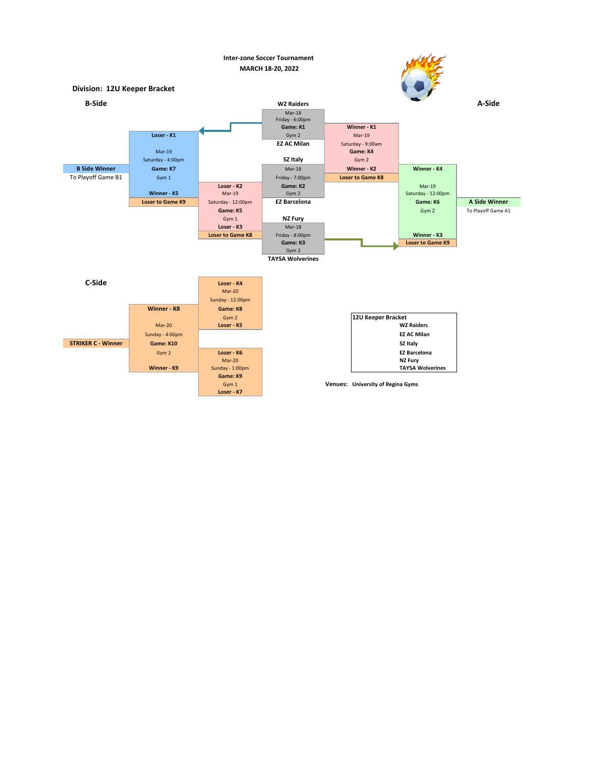| <b>12U Keeper Bracket</b> |                         |
|---------------------------|-------------------------|
|                           | <b>WZ Raiders</b>       |
|                           | <b>EZ AC Milan</b>      |
|                           | <b>SZ Italy</b>         |
|                           | <b>EZ Barcelona</b>     |
|                           | <b>NZ Fury</b>          |
|                           | <b>TAYSA Wolverines</b> |

**Venues: University of Regina Gyms**



| <b>C-Side</b>             |                    | Loser - K4              |
|---------------------------|--------------------|-------------------------|
|                           |                    | $Mar-20$                |
|                           |                    | <b>Sunday - 12:00pm</b> |
|                           | <b>Winner - K8</b> | Game: K8                |
|                           |                    | Gym 2                   |
|                           | Mar-20             | Loser - K5              |
|                           | Sunday - 4:00pm    |                         |
| <b>STRIKER C - Winner</b> | Game: K10          |                         |
|                           | Gym 2              | Loser - K6              |
|                           |                    | Mar-20                  |
|                           | <b>Winner - K9</b> | Sunday - 1:00pm         |
|                           |                    | Game: K9                |
|                           |                    | Gym 1                   |
|                           |                    | Loser - K7              |